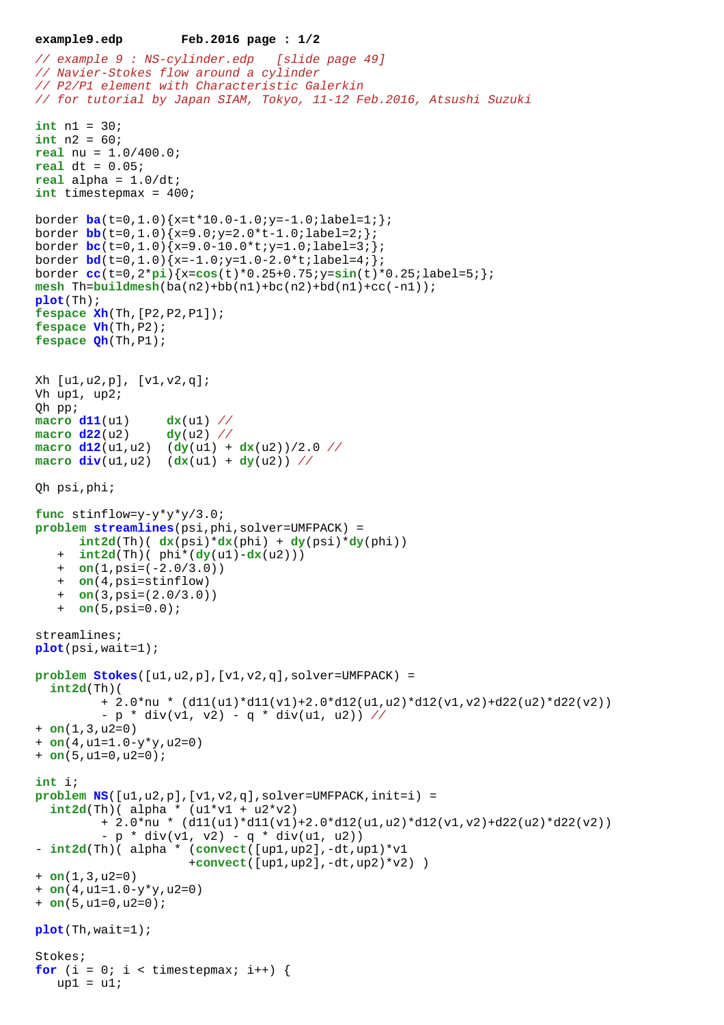```
example9.edp Feb.2016 page : 1/2
```

```
// example 9 : NS-cylinder.edp [slide page 49]
// Navier-Stokes flow around a cylinder 
// P2/P1 element with Characteristic Galerkin
// for tutorial by Japan SIAM, Tokyo, 11-12 Feb.2016, Atsushi Suzuki
int n1 = 30;
int n2 = 60;
real nu = 1.0/400.0;
real dt = 0.05;
real alpha = 1.0/dt;
int timestepmax = 400;
border ba(t=0,1.0){x=t*10.0-1.0;y=-1.0;label=1;};
border \frac{\text{bb}}{\text{1.0}} (t=0,1.0) {x=9.0; y=2.0*t-1.0; label=2; };
border bc(t=0,1.0){x=9.0-10.0*t;y=1.0;label=3;};
border bd(t=0,1.0){x=-1.0;y=1.0-2.0*t;label=4;};
border cc(t=0,2*pi){x=cos(t)*0.25+0.75;y=sin(t)*0.25;label=5;};
mesh Th=buildmesh(ba(n2)+bb(n1)+bc(n2)+bd(n1)+cc(-n1));
plot(Th);
fespace Xh(Th,[P2,P2,P1]);
fespace Vh(Th,P2);
fespace Qh(Th,P1);
Xh [u1,u2,p], [v1,v2,q];
Vh up1, up2;
Qh pp;
macro d11(u1) dx(u1) //
macro d22(u2) dy(u2) //
\text{macro } d12(u1, u2) (dy(u1) + dx(u2))/2.0 //
macro div(u1,u2) (dx(u1) + dy(u2)) //
Qh psi,phi;
func stinflow=y-y*y*y/3.0;
problem streamlines(psi,phi,solver=UMFPACK) =
      int2d(Th) ( dx(psi)*dx(phi) + dy(psi)*dy(phi))
    + int2d(Th)( phi*(dy(u1)-dx(u2)))
    + on(1,psi=(-2.0/3.0))
    + on(4,psi=stinflow)
    + on(3,psi=(2.0/3.0))
    + on(5,psi=0.0);
streamlines;
plot(psi,wait=1);
problem Stokes([u1,u2,p],[v1,v2,q],solver=UMFPACK) = 
   int2d(Th)( 
          + 2.0*nu * (d11(u1)*d11(v1)+2.0*d12(u1,u2)*d12(v1,v2)+d22(u2)*d22(v2))
         - p * div(v1, v2) - q * div(u1, u2)) //
+ on(1,3,u2=0) 
+ on(4,u1=1.0-y*y,u2=0) 
+ on(5,u1=0,u2=0);
int i;
problem NS([u1,u2,p],[v1,v2,q],solver=UMFPACK,init=i) = 
  int2d(Th) (alpha * (ul*vl + u2*v2)+ 2.0*nu * (d11(u1)*d11(v1)+2.0*d12(u1,u2)*d12(v1,v2)+d22(u2)*d22(v2))- p * div(v1, v2) - q * div(u1, u2)- int2d(Th)( alpha * (convect([up1,up2],-dt,up1)*v1
                      +convect([up1,up2],-dt,up2)*v2) )
+ on(1,3,u2=0) 
+ on(4,u1=1.0-y*y,u2=0) 
+ on(5,u1=0,u2=0);
plot(Th,wait=1);
Stokes;
for (i = 0; i < timestepmax; i++) {
   up1 = ul;
```